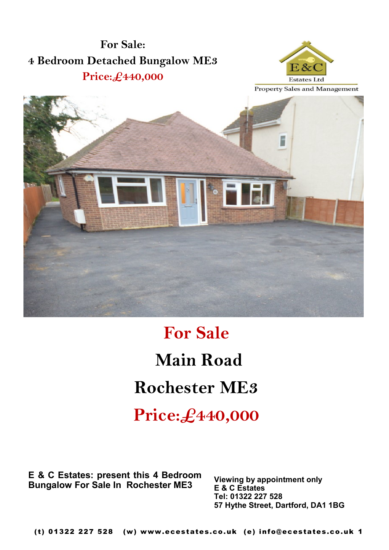



## **For Sale Main Road Rochester ME3**

**Price:£440,000**

**E & C Estates: present this 4 Bedroom Bungalow For Sale In Rochester ME3**

**Viewing by appointment only E & C Estates Tel: 01322 227 528 57 Hythe Street, Dartford, DA1 1BG**